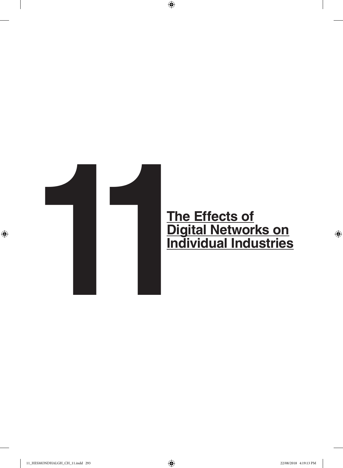

 $\bigoplus$ 

 $\bigoplus$ 

 $\bigoplus$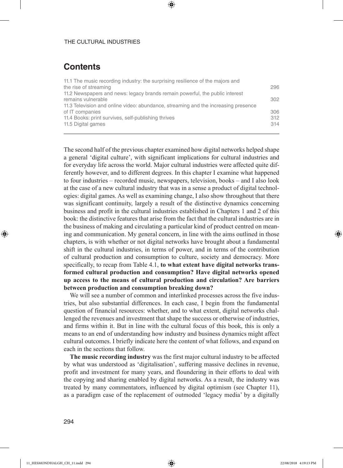# **Contents**

| 11.1 The music recording industry: the surprising resilience of the majors and     |     |
|------------------------------------------------------------------------------------|-----|
| the rise of streaming                                                              | 296 |
| 11.2 Newspapers and news: legacy brands remain powerful, the public interest       |     |
| remains vulnerable                                                                 | 302 |
| 11.3 Television and online video: abundance, streaming and the increasing presence |     |
| of IT companies                                                                    | 306 |
| 11.4 Books: print survives, self-publishing thrives                                | 312 |
| 11.5 Digital games                                                                 | 314 |
|                                                                                    |     |

⊕

The second half of the previous chapter examined how digital networks helped shape a general 'digital culture', with significant implications for cultural industries and for everyday life across the world. Major cultural industries were affected quite differently however, and to different degrees. In this chapter I examine what happened to four industries – recorded music, newspapers, television, books – and I also look at the case of a new cultural industry that was in a sense a product of digital technologies: digital games. As well as examining change, I also show throughout that there was significant continuity, largely a result of the distinctive dynamics concerning business and profit in the cultural industries established in Chapters 1 and 2 of this book: the distinctive features that arise from the fact that the cultural industries are in the business of making and circulating a particular kind of product centred on meaning and communication. My general concern, in line with the aims outlined in those chapters, is with whether or not digital networks have brought about a fundamental shift in the cultural industries, in terms of power, and in terms of the contribution of cultural production and consumption to culture, society and democracy. More specifically, to recap from Table 4.1, **to what extent have digital networks transformed cultural production and consumption? Have digital networks opened up access to the means of cultural production and circulation? Are barriers between production and consumption breaking down?**

We will see a number of common and interlinked processes across the five industries, but also substantial differences. In each case, I begin from the fundamental question of financial resources: whether, and to what extent, digital networks challenged the revenues and investment that shape the success or otherwise of industries, and firms within it. But in line with the cultural focus of this book, this is only a means to an end of understanding how industry and business dynamics might affect cultural outcomes. I briefly indicate here the content of what follows, and expand on each in the sections that follow.

**The music recording industry** was the first major cultural industry to be affected by what was understood as 'digitalisation', suffering massive declines in revenue, profit and investment for many years, and floundering in their efforts to deal with the copying and sharing enabled by digital networks. As a result, the industry was treated by many commentators, influenced by digital optimism (see Chapter 11), as a paradigm case of the replacement of outmoded 'legacy media' by a digitally

⊕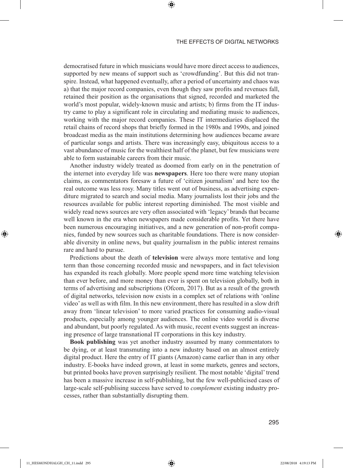democratised future in which musicians would have more direct access to audiences, supported by new means of support such as 'crowdfunding'. But this did not transpire. Instead, what happened eventually, after a period of uncertainty and chaos was a) that the major record companies, even though they saw profits and revenues fall, retained their position as the organisations that signed, recorded and marketed the world's most popular, widely-known music and artists; b) firms from the IT industry came to play a significant role in circulating and mediating music to audiences, working with the major record companies. These IT intermediaries displaced the retail chains of record shops that briefly formed in the 1980s and 1990s, and joined broadcast media as the main institutions determining how audiences became aware of particular songs and artists. There was increasingly easy, ubiquitous access to a vast abundance of music for the wealthiest half of the planet, but few musicians were able to form sustainable careers from their music.

⊕

Another industry widely treated as doomed from early on in the penetration of the internet into everyday life was **newspapers**. Here too there were many utopian claims, as commentators foresaw a future of 'citizen journalism' and here too the real outcome was less rosy. Many titles went out of business, as advertising expenditure migrated to search and social media. Many journalists lost their jobs and the resources available for public interest reporting diminished. The most visible and widely read news sources are very often associated with 'legacy' brands that became well known in the era when newspapers made considerable profits. Yet there have been numerous encouraging initiatives, and a new generation of non-profit companies, funded by new sources such as charitable foundations. There is now considerable diversity in online news, but quality journalism in the public interest remains rare and hard to pursue.

Predictions about the death of **television** were always more tentative and long term than those concerning recorded music and newspapers, and in fact television has expanded its reach globally. More people spend more time watching television than ever before, and more money than ever is spent on television globally, both in terms of advertising and subscriptions (Ofcom, 2017). But as a result of the growth of digital networks, television now exists in a complex set of relations with 'online video' as well as with film. In this new environment, there has resulted in a slow drift away from 'linear television' to more varied practices for consuming audio-visual products, especially among younger audiences. The online video world is diverse and abundant, but poorly regulated. As with music, recent events suggest an increasing presence of large transnational IT corporations in this key industry.

**Book publishing** was yet another industry assumed by many commentators to be dying, or at least transmuting into a new industry based on an almost entirely digital product. Here the entry of IT giants (Amazon) came earlier than in any other industry. E-books have indeed grown, at least in some markets, genres and sectors, but printed books have proven surprisingly resilient. The most notable 'digital' trend has been a massive increase in self-publishing, but the few well-publicised cases of large-scale self-publising success have served to *complement* existing industry processes, rather than substantially disrupting them.

⊕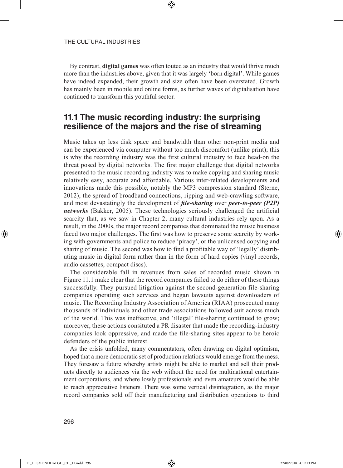By contrast, **digital games** was often touted as an industry that would thrive much more than the industries above, given that it was largely 'born digital'. While games have indeed expanded, their growth and size often have been overstated. Growth has mainly been in mobile and online forms, as further waves of digitalisation have continued to transform this youthful sector.

⊕

# **11.1 The music recording industry: the surprising resilience of the majors and the rise of streaming**

Music takes up less disk space and bandwidth than other non-print media and can be experienced via computer without too much discomfort (unlike print); this is why the recording industry was the first cultural industry to face head-on the threat posed by digital networks. The first major challenge that digital networks presented to the music recording industry was to make copying and sharing music relatively easy, accurate and affordable. Various inter-related developments and innovations made this possible, notably the MP3 compression standard (Sterne, 2012), the spread of broadband connections, ripping and web-crawling software, and most devastatingly the development of *file-sharing* over *peer-to-peer (P2P) networks* (Bakker, 2005). These technologies seriously challenged the artificial scarcity that, as we saw in Chapter 2, many cultural industries rely upon. As a result, in the 2000s, the major record companies that dominated the music business faced two major challenges. The first was how to preserve some scarcity by working with governments and police to reduce 'piracy', or the unlicensed copying and sharing of music. The second was how to find a profitable way of 'legally' distributing music in digital form rather than in the form of hard copies (vinyl records, audio cassettes, compact discs).

The considerable fall in revenues from sales of recorded music shown in Figure 11.1 make clear that the record companies failed to do either of these things successfully. They pursued litigation against the second-generation file-sharing companies operating such services and began lawsuits against downloaders of music. The Recording Industry Association of America (RIAA) prosecuted many thousands of individuals and other trade associations followed suit across much of the world. This was ineffective, and 'illegal' file-sharing continued to grow; moreover, these actions consituted a PR disaster that made the recording-industry companies look oppressive, and made the file-sharing sites appear to be heroic defenders of the public interest.

As the crisis unfolded, many commentators, often drawing on digital optimism, hoped that a more democratic set of production relations would emerge from the mess. They foresaw a future whereby artists might be able to market and sell their products directly to audiences via the web without the need for multinational entertainment corporations, and where lowly professionals and even amateurs would be able to reach appreciative listeners. There was some vertical disintegration, as the major record companies sold off their manufacturing and distribution operations to third

⊕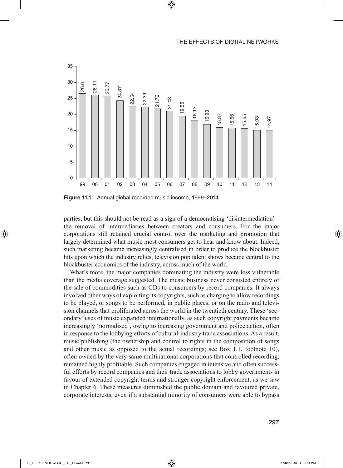

 $\bigoplus$ 

**Figure 11.1** Annual global recorded music income, 1999–2014

parties, but this should not be read as a sign of a democratising 'disintermediation' – the removal of intermediaries between creators and consumers. For the major corporations still retained crucial control over the marketing and promotion that largely determined what music most consumers get to hear and know about. Indeed, such marketing became increasingly centralised in order to produce the blockbuster hits upon which the industry relies; television pop talent shows became central to the blockbuster economics of the industry, across much of the world.

What's more, the major companies dominating the industry were less vulnerable than the media coverage suggested. The music business never consisted entirely of the sale of commodities such as CDs to consumers by record companies. It always involved other ways of exploiting its copyrights, such as charging to allow recordings to be played, or songs to be performed, in public places, or on the radio and television channels that proliferated across the world in the twentieth century. These 'secondary' uses of music expanded internationally, as such copyright payments became increasingly 'normalised', owing to increasing government and police action, often in response to the lobbying efforts of cultural-industry trade associations. As a result, music publishing (the ownership and control to rights in the composition of songs and other music as opposed to the actual recordings; see Box 1.1, footnote 10), often owned by the very same multinational corporations that controlled recording, remained highly profitable. Such companies engaged in intensive and often successful efforts by record companies and their trade associations to lobby governments in favour of extended copyright terms and stronger copyright enforcement, as we saw in Chapter 6. These measures diminished the public domain and favoured private, corporate interests, even if a substantial minority of consumers were able to bypass

⊕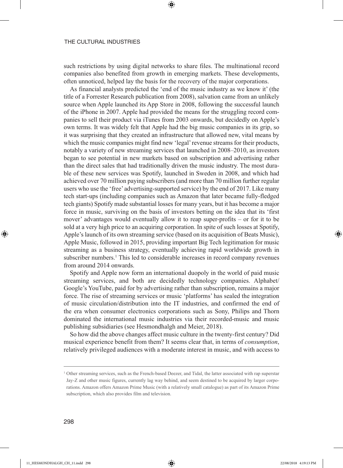such restrictions by using digital networks to share files. The multinational record companies also benefited from growth in emerging markets. These developments, often unnoticed, helped lay the basis for the recovery of the major corporations.

⊕

As financial analysts predicted the 'end of the music industry as we know it' (the title of a Forrester Research publication from 2008), salvation came from an unlikely source when Apple launched its App Store in 2008, following the successful launch of the iPhone in 2007. Apple had provided the means for the struggling record companies to sell their product via iTunes from 2003 onwards, but decidedly on Apple's own terms. It was widely felt that Apple had the big music companies in its grip, so it was surprising that they created an infrastructure that allowed new, vital means by which the music companies might find new 'legal' revenue streams for their products, notably a variety of new streaming services that launched in 2008–2010, as investors began to see potential in new markets based on subscription and advertising rather than the direct sales that had traditionally driven the music industry. The most durable of these new services was Spotify, launched in Sweden in 2008, and which had achieved over 70 million paying subscribers (and more than 70 million further regular users who use the 'free' advertising-supported service) by the end of 2017. Like many tech start-ups (including companies such as Amazon that later became fully-fledged tech giants) Spotify made substantial losses for many years, but it has become a major force in music, surviving on the basis of investors betting on the idea that its 'first mover' advantages would eventually allow it to reap super-profits – or for it to be sold at a very high price to an acquiring corporation. In spite of such losses at Spotify, Apple's launch of its own streaming service (based on its acquisition of Beats Music), Apple Music, followed in 2015, providing important Big Tech legitimation for music streaming as a business strategy, eventually achieving rapid worldwide growth in subscriber numbers.<sup>1</sup> This led to considerable increases in record company revenues from around 2014 onwards.

Spotify and Apple now form an international duopoly in the world of paid music streaming services, and both are decidedly technology companies. Alphabet/ Google's YouTube, paid for by advertising rather than subscription, remains a major force. The rise of streaming services or music 'platforms' has sealed the integration of music circulation/distribution into the IT industries, and confirmed the end of the era when consumer electronics corporations such as Sony, Philips and Thorn dominated the international music industries via their recorded-music and music publishing subsidiaries (see Hesmondhalgh and Meier, 2018).

So how did the above changes affect music culture in the twenty-first century? Did musical experience benefit from them? It seems clear that, in terms of *consumption*, relatively privileged audiences with a moderate interest in music, and with access to

⊕

<sup>1</sup> Other streaming services, such as the French-based Deezer, and Tidal, the latter associated with rap superstar Jay-Z and other music figures, currently lag way behind, and seem destined to be acquired by larger corporations. Amazon offers Amazon Prime Music (with a relatively small catalogue) as part of its Amazon Prime subscription, which also provides film and television.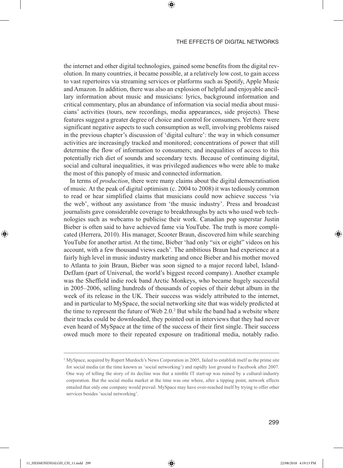the internet and other digital technologies, gained some benefits from the digital revolution. In many countries, it became possible, at a relatively low cost, to gain access to vast repertoires via streaming services or platforms such as Spotify, Apple Music and Amazon. In addition, there was also an explosion of helpful and enjoyable ancillary information about music and musicians: lyrics, background information and critical commentary, plus an abundance of information via social media about musicians' activities (tours, new recordings, media appearances, side projects). These features suggest a greater degree of choice and control for consumers. Yet there were significant negative aspects to such consumption as well, involving problems raised in the previous chapter's discussion of 'digital culture': the way in which consumer activities are increasingly tracked and monitored; concentrations of power that still determine the flow of information to consumers; and inequalities of access to this potentially rich diet of sounds and secondary texts. Because of continuing digital, social and cultural inequalities, it was privileged audiences who were able to make the most of this panoply of music and connected information.

⊕

In terms of *production*, there were many claims about the digital democratisation of music. At the peak of digital optimism (c. 2004 to 2008) it was tediously common to read or hear simplified claims that musicians could now achieve success 'via the web', without any assistance from 'the music industry'. Press and broadcast journalists gave considerable coverage to breakthroughs by acts who used web technologies such as webcams to publicise their work. Canadian pop superstar Justin Bieber is often said to have achieved fame via YouTube. The truth is more complicated (Herrera, 2010). His manager, Scooter Braun, discovered him while searching YouTube for another artist. At the time, Bieber 'had only "six or eight" videos on his account, with a few thousand views each'. The ambitious Braun had experience at a fairly high level in music industry marketing and once Bieber and his mother moved to Atlanta to join Braun, Bieber was soon signed to a major record label, Island-DefJam (part of Universal, the world's biggest record company). Another example was the Sheffield indie rock band Arctic Monkeys, who became hugely successful in 2005–2006, selling hundreds of thousands of copies of their debut album in the week of its release in the UK. Their success was widely attributed to the internet, and in particular to MySpace, the social networking site that was widely predicted at the time to represent the future of Web 2.0.<sup>2</sup> But while the band had a website where their tracks could be downloaded, they pointed out in interviews that they had never even heard of MySpace at the time of the success of their first single. Their success owed much more to their repeated exposure on traditional media, notably radio.

⊕

<sup>2</sup> MySpace, acquired by Rupert Murdoch's News Corporation in 2005, failed to establish itself as the prime site for social media (at the time known as 'social networking') and rapidly lost ground to Facebook after 2007. One way of telling the story of its decline was that a nimble IT start-up was ruined by a cultural-industry corporation. But the social media market at the time was one where, after a tipping point, network effects entailed that only one company would prevail. MySpace may have over-reached itself by trying to offer other services besides 'social networking'.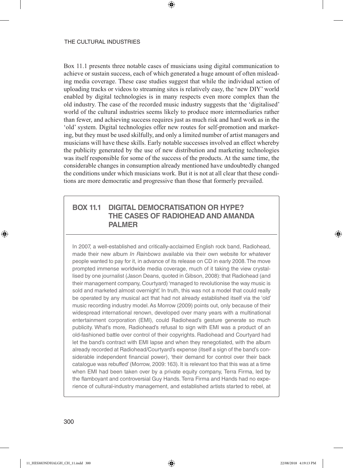Box 11.1 presents three notable cases of musicians using digital communication to achieve or sustain success, each of which generated a huge amount of often misleading media coverage. These case studies suggest that while the individual action of uploading tracks or videos to streaming sites is relatively easy, the 'new DIY' world enabled by digital technologies is in many respects even more complex than the old industry. The case of the recorded music industry suggests that the 'digitalised' world of the cultural industries seems likely to produce more intermediaries rather than fewer, and achieving success requires just as much risk and hard work as in the 'old' system. Digital technologies offer new routes for self-promotion and marketing, but they must be used skilfully, and only a limited number of artist managers and musicians will have these skills. Early notable successes involved an effect whereby the publicity generated by the use of new distribution and marketing technologies was itself responsible for some of the success of the products. At the same time, the considerable changes in consumption already mentioned have undoubtedly changed the conditions under which musicians work. But it is not at all clear that these conditions are more democratic and progressive than those that formerly prevailed.

⊕

## **BOX 11.1 DIGITAL DEMOCRATISATION OR HYPE? THE CASES OF RADIOHEAD AND AMANDA PALMER**

In 2007, a well-established and critically-acclaimed English rock band, Radiohead, made their new album *In Rainbows* available via their own website for whatever people wanted to pay for it, in advance of its release on CD in early 2008. The move prompted immense worldwide media coverage, much of it taking the view crystallised by one journalist (Jason Deans, quoted in Gibson, 2008): that Radiohead (and their management company, Courtyard) 'managed to revolutionise the way music is sold and marketed almost overnight'. In truth, this was not a model that could really be operated by any musical act that had not already established itself via the 'old' music recording industry model. As Morrow (2009) points out, only because of their widespread international renown, developed over many years with a multinational entertainment corporation (EMI), could Radiohead's gesture generate so much publicity. What's more, Radiohead's refusal to sign with EMI was a product of an old-fashioned battle over control of their copyrights. Radiohead and Courtyard had let the band's contract with EMI lapse and when they renegotiated, with the album already recorded at Radiohead/Courtyard's expense (itself a sign of the band's considerable independent financial power), 'their demand for control over their back catalogue was rebuffed' (Morrow, 2009: 163). It is relevant too that this was at a time when EMI had been taken over by a private equity company, Terra Firma, led by the flamboyant and controversial Guy Hands. Terra Firma and Hands had no experience of cultural-industry management, and established artists started to rebel, at

⊕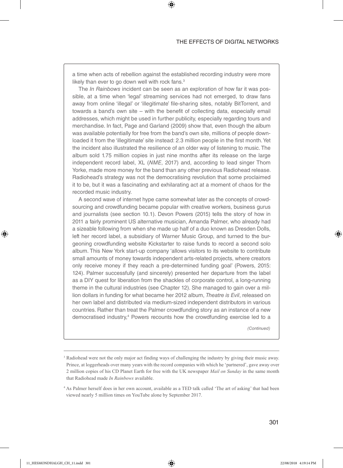a time when acts of rebellion against the established recording industry were more likely than ever to go down well with rock fans.<sup>3</sup>

⊕

The *In Rainbows* incident can be seen as an exploration of how far it was possible, at a time when 'legal' streaming services had not emerged, to draw fans away from online 'illegal' or 'illegitimate' file-sharing sites, notably BitTorrent, and towards a band's own site – with the benefit of collecting data, especially email addresses, which might be used in further publicity, especially regarding tours and merchandise. In fact, Page and Garland (2009) show that, even though the album was available potentially for free from the band's own site, millions of people downloaded it from the 'illegitimate' site instead: 2.3 million people in the first month. Yet the incident also illustrated the resilience of an older way of listening to music. The album sold 1.75 million copies in just nine months after its release on the large independent record label, XL (*NME*, 2017) and, according to lead singer Thom Yorke, made more money for the band than any other previous Radiohead release. Radiohead's strategy was not the democratising revolution that some proclaimed it to be, but it was a fascinating and exhilarating act at a moment of chaos for the recorded music industry.

A second wave of internet hype came somewhat later as the concepts of crowdsourcing and crowdfunding became popular with creative workers, business gurus and journalists (see section 10.1). Devon Powers (2015) tells the story of how in 2011 a fairly prominent US alternative musician, Amanda Palmer, who already had a sizeable following from when she made up half of a duo known as Dresden Dolls, left her record label, a subsidiary of Warner Music Group, and turned to the burgeoning crowdfunding website Kickstarter to raise funds to record a second solo album. This New York start-up company 'allows visitors to its website to contribute small amounts of money towards independent arts-related projects, where creators only receive money if they reach a pre-determined funding goal' (Powers, 2015: 124). Palmer successfully (and sincerely) presented her departure from the label as a DIY quest for liberation from the shackles of corporate control, a long-running theme in the cultural industries (see Chapter 12). She managed to gain over a million dollars in funding for what became her 2012 album, *Theatre is Evil*, released on her own label and distributed via medium-sized independent distributors in various countries. Rather than treat the Palmer crowdfunding story as an instance of a new democratised industry,<sup>4</sup> Powers recounts how the crowdfunding exercise led to a

*(Continued)*

⊕

<sup>&</sup>lt;sup>3</sup> Radiohead were not the only major act finding ways of challenging the industry by giving their music away. Prince, at loggerheads over many years with the record companies with which he 'partnered', gave away over 2 million copies of his CD Planet Earth for free with the UK newspaper *Mail on Sunday* in the same month that Radiohead made *In Rainbows* available.

<sup>4</sup> As Palmer herself does in her own account, available as a TED talk called 'The art of asking' that had been viewed nearly 5 million times on YouTube alone by September 2017.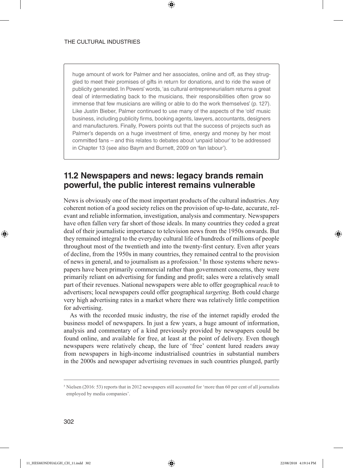huge amount of work for Palmer and her associates, online and off, as they struggled to meet their promises of gifts in return for donations, and to ride the wave of publicity generated. In Powers' words, 'as cultural entrepreneurialism returns a great deal of intermediating back to the musicians, their responsibilities often grow so immense that few musicians are willing or able to do the work themselves' (p. 127). Like Justin Bieber, Palmer continued to use many of the aspects of the 'old' music business, including publicity firms, booking agents, lawyers, accountants, designers and manufacturers. Finally, Powers points out that the success of projects such as Palmer's depends on a huge investment of time, energy and money by her most committed fans – and this relates to debates about 'unpaid labour' to be addressed in Chapter 13 (see also Baym and Burnett, 2009 on 'fan labour').

⊕

# **11.2 Newspapers and news: legacy brands remain powerful, the public interest remains vulnerable**

News is obviously one of the most important products of the cultural industries. Any coherent notion of a good society relies on the provision of up-to-date, accurate, relevant and reliable information, investigation, analysis and commentary. Newspapers have often fallen very far short of those ideals. In many countries they ceded a great deal of their journalistic importance to television news from the 1950s onwards. But they remained integral to the everyday cultural life of hundreds of millions of people throughout most of the twentieth and into the twenty-first century. Even after years of decline, from the 1950s in many countries, they remained central to the provision of news in general, and to journalism as a profession.<sup>5</sup> In those systems where newspapers have been primarily commercial rather than government concerns, they were primarily reliant on advertising for funding and profit; sales were a relatively small part of their revenues. National newspapers were able to offer geographical *reach* to advertisers; local newspapers could offer geographical *targeting*. Both could charge very high advertising rates in a market where there was relatively little competition for advertising.

As with the recorded music industry, the rise of the internet rapidly eroded the business model of newspapers. In just a few years, a huge amount of information, analysis and commentary of a kind previously provided by newspapers could be found online, and available for free, at least at the point of delivery. Even though newspapers were relatively cheap, the lure of 'free' content lured readers away from newspapers in high-income industrialised countries in substantial numbers in the 2000s and newspaper advertising revenues in such countries plunged, partly

⊕

<sup>5</sup> Nielsen (2016: 53) reports that in 2012 newspapers still accounted for 'more than 60 per cent of all journalists employed by media companies'.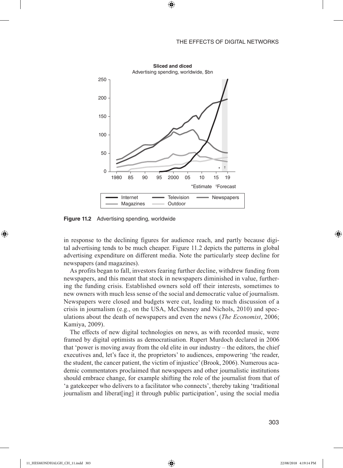

 $\bigoplus$ 

**Figure 11.2** Advertising spending, worldwide

in response to the declining figures for audience reach, and partly because digital advertising tends to be much cheaper. Figure 11.2 depicts the patterns in global advertising expenditure on different media. Note the particularly steep decline for newspapers (and magazines).

As profits began to fall, investors fearing further decline, withdrew funding from newspapers, and this meant that stock in newspapers diminished in value, furthering the funding crisis. Established owners sold off their interests, sometimes to new owners with much less sense of the social and democratic value of journalism. Newspapers were closed and budgets were cut, leading to much discussion of a crisis in journalism (e.g., on the USA, McChesney and Nichols, 2010) and speculations about the death of newspapers and even the news (*The Economist*, 2006; Kamiya, 2009).

The effects of new digital technologies on news, as with recorded music, were framed by digital optimists as democratisation. Rupert Murdoch declared in 2006 that 'power is moving away from the old elite in our industry – the editors, the chief executives and, let's face it, the proprietors' to audiences, empowering 'the reader, the student, the cancer patient, the victim of injustice' (Brook, 2006). Numerous academic commentators proclaimed that newspapers and other journalistic institutions should embrace change, for example shifting the role of the journalist from that of 'a gatekeeper who delivers to a facilitator who connects', thereby taking 'traditional journalism and liberat[ing] it through public participation', using the social media

⊕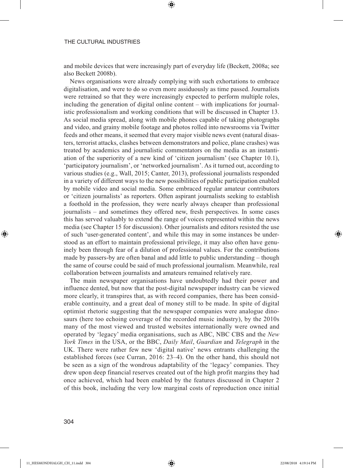and mobile devices that were increasingly part of everyday life (Beckett, 2008a; see also Beckett 2008b).

⊕

News organisations were already complying with such exhortations to embrace digitalisation, and were to do so even more assiduously as time passed. Journalists were retrained so that they were increasingly expected to perform multiple roles, including the generation of digital online content – with implications for journalistic professionalism and working conditions that will be discussed in Chapter 13. As social media spread, along with mobile phones capable of taking photographs and video, and grainy mobile footage and photos rolled into newsrooms via Twitter feeds and other means, it seemed that every major visible news event (natural disasters, terrorist attacks, clashes between demonstrators and police, plane crashes) was treated by academics and journalistic commentators on the media as an instantiation of the superiority of a new kind of 'citizen journalism' (see Chapter 10.1), 'participatory journalism', or 'networked journalism'. As it turned out, according to various studies (e.g., Wall, 2015; Canter, 2013), professional journalists responded in a variety of different ways to the new possibilities of public participation enabled by mobile video and social media. Some embraced regular amateur contributors or 'citizen journalists' as reporters. Often aspirant journalists seeking to establish a foothold in the profession, they were nearly always cheaper than professional journalists – and sometimes they offered new, fresh perspectives. In some cases this has served valuably to extend the range of voices represented within the news media (see Chapter 15 for discussion). Other journalists and editors resisted the use of such 'user-generated content', and while this may in some instances be understood as an effort to maintain professional privilege, it may also often have genuinely been through fear of a dilution of professional values. For the contributions made by passers-by are often banal and add little to public understanding – though the same of course could be said of much professional journalism. Meanwhile, real collaboration between journalists and amateurs remained relatively rare.

The main newspaper organisations have undoubtedly had their power and influence dented, but now that the post-digital newspaper industry can be viewed more clearly, it transpires that, as with record companies, there has been considerable continuity, and a great deal of money still to be made. In spite of digital optimist rhetoric suggesting that the newspaper companies were analogue dinosaurs (here too echoing coverage of the recorded music industry), by the 2010s many of the most viewed and trusted websites internationally were owned and operated by 'legacy' media organisations, such as ABC, NBC CBS and the *New York Times* in the USA, or the BBC, *Daily Mail*, *Guardian* and *Telegraph* in the UK. There were rather few new 'digital native' news entrants challenging the established forces (see Curran, 2016: 23–4). On the other hand, this should not be seen as a sign of the wondrous adaptability of the 'legacy' companies. They drew upon deep financial reserves created out of the high profit margins they had once achieved, which had been enabled by the features discussed in Chapter 2 of this book, including the very low marginal costs of reproduction once initial

⊕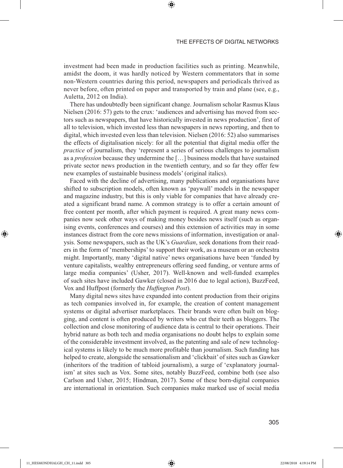investment had been made in production facilities such as printing. Meanwhile, amidst the doom, it was hardly noticed by Western commentators that in some non-Western countries during this period, newspapers and periodicals thrived as never before, often printed on paper and transported by train and plane (see, e.g., Auletta, 2012 on India).

⊕

There has undoubtedly been significant change. Journalism scholar Rasmus Klaus Nielsen (2016: 57) gets to the crux: 'audiences and advertising has moved from sectors such as newspapers, that have historically invested in news production', first of all to television, which invested less than newspapers in news reporting, and then to digital, which invested even less than television. Nielsen (2016: 52) also summarises the effects of digitalisation nicely: for all the potential that digital media offer the *practice* of journalism, they 'represent a series of serious challenges to journalism as a *profession* because they undermine the […] business models that have sustained private sector news production in the twentieth century, and so far they offer few new examples of sustainable business models' (original italics).

Faced with the decline of advertising, many publications and organisations have shifted to subscription models, often known as 'paywall' models in the newspaper and magazine industry, but this is only viable for companies that have already created a significant brand name. A common strategy is to offer a certain amount of free content per month, after which payment is required. A great many news companies now seek other ways of making money besides news itself (such as organising events, conferences and courses) and this extension of activities may in some instances distract from the core news missions of information, investigation or analysis. Some newspapers, such as the UK's *Guardian*, seek donations from their readers in the form of 'memberships' to support their work, as a museum or an orchestra might. Importantly, many 'digital native' news organisations have been 'funded by venture capitalists, wealthy entrepreneurs offering seed funding, or venture arms of large media companies' (Usher, 2017). Well-known and well-funded examples of such sites have included Gawker (closed in 2016 due to legal action), BuzzFeed, Vox and Huffpost (formerly the *Huffington Post*).

Many digital news sites have expanded into content production from their origins as tech companies involved in, for example, the creation of content management systems or digital advertiser marketplaces. Their brands were often built on blogging, and content is often produced by writers who cut their teeth as bloggers. The collection and close monitoring of audience data is central to their operations. Their hybrid nature as both tech and media organisations no doubt helps to explain some of the considerable investment involved, as the patenting and sale of new technological systems is likely to be much more profitable than journalism. Such funding has helped to create, alongside the sensationalism and 'clickbait' of sites such as Gawker (inheritors of the tradition of tabloid journalism), a surge of 'explanatory journalism' at sites such as Vox. Some sites, notably BuzzFeed, combine both (see also Carlson and Usher, 2015; Hindman, 2017). Some of these born-digital companies are international in orientation. Such companies make marked use of social media

⊕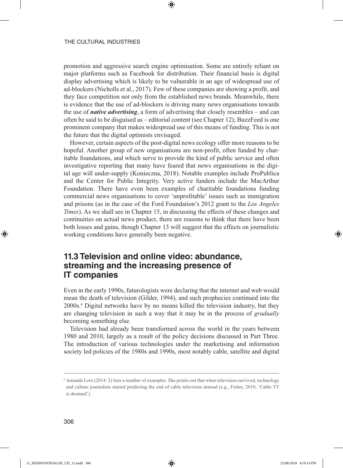promotion and aggressive search engine optimisation. Some are entirely reliant on major platforms such as Facebook for distribution. Their financial basis is digital display advertising which is likely to be vulnerable in an age of widespread use of ad-blockers (Nicholls et al., 2017). Few of these companies are showing a profit, and they face competition not only from the established news brands. Meanwhile, there is evidence that the use of ad-blockers is driving many news organisations towards the use of *native advertising*, a form of advertising that closely resembles – and can often be said to be disguised as – editorial content (see Chapter 12); BuzzFeed is one prominent company that makes widespread use of this means of funding. This is not the future that the digital optimists envisaged.

⊕

However, certain aspects of the post-digital news ecology offer more reasons to be hopeful. Another group of new organisations are non-profit, often funded by charitable foundations, and which serve to provide the kind of public service and often investigative reporting that many have feared that news organisations in the digital age will under-supply (Konieczna, 2018). Notable examples include ProPublica and the Center for Public Integrity. Very active funders include the MacArthur Foundation. There have even been examples of charitable foundations funding commercial news organisations to cover 'unprofitable' issues such as immigration and prisons (as in the case of the Ford Foundation's 2012 grant to the *Los Angeles Times*). As we shall see in Chapter 15, in discussing the effects of these changes and continuities on actual news product, there are reasons to think that there have been both losses and gains, though Chapter 13 will suggest that the effects on journalistic working conditions have generally been negative.

# **11.3 Television and online video: abundance, streaming and the increasing presence of IT companies**

Even in the early 1990s, futurologists were declaring that the internet and web would mean the death of television (Gilder, 1994), and such prophecies continued into the 2000s.6 Digital networks have by no means killed the television industry, but they are changing television in such a way that it may be in the process of *gradually* becoming something else.

Television had already been transformed across the world in the years between 1980 and 2010, largely as a result of the policy decisions discussed in Part Three. The introduction of various technologies under the marketising and information society led policies of the 1980s and 1990s, most notably cable, satellite and digital

⊕

<sup>6</sup> Amanda Lotz (2014: 2) lists a number of examples. She points out that when television survived, technology and culture journalists started predicting the end of cable television instead (e.g., Fisher, 2010, 'Cable TV is doomed').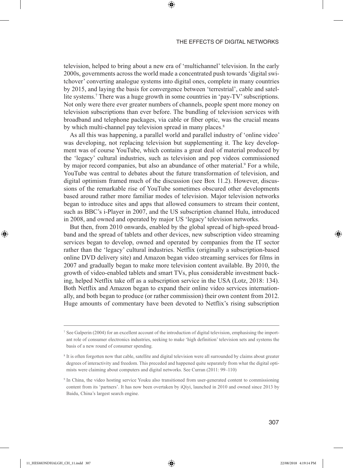television, helped to bring about a new era of 'multichannel' television. In the early 2000s, governments across the world made a concentrated push towards 'digital switchover' converting analogue systems into digital ones, complete in many countries by 2015, and laying the basis for convergence between 'terrestrial', cable and satellite systems.<sup>7</sup> There was a huge growth in some countries in 'pay-TV' subscriptions. Not only were there ever greater numbers of channels, people spent more money on television subscriptions than ever before. The bundling of television services with broadband and telephone packages, via cable or fiber optic, was the crucial means by which multi-channel pay television spread in many places.<sup>8</sup>

⊕

As all this was happening, a parallel world and parallel industry of 'online video' was developing, not replacing television but supplementing it. The key development was of course YouTube, which contains a great deal of material produced by the 'legacy' cultural industries, such as television and pop videos commissioned by major record companies, but also an abundance of other material.<sup>9</sup> For a while, YouTube was central to debates about the future transformation of television, and digital optimism framed much of the discussion (see Box 11.2). However, discussions of the remarkable rise of YouTube sometimes obscured other developments based around rather more familiar modes of television. Major television networks began to introduce sites and apps that allowed consumers to stream their content, such as BBC's i-Player in 2007, and the US subscription channel Hulu, introduced in 2008, and owned and operated by major US 'legacy' television networks.

But then, from 2010 onwards, enabled by the global spread of high-speed broadband and the spread of tablets and other devices, new subscription video streaming services began to develop, owned and operated by companies from the IT sector rather than the 'legacy' cultural industries. Netflix (originally a subscription-based online DVD delivery site) and Amazon began video streaming services for films in 2007 and gradually began to make more television content available. By 2010, the growth of video-enabled tablets and smart TVs, plus considerable investment backing, helped Netflix take off as a subscription service in the USA (Lotz, 2018: 134). Both Netflix and Amazon began to expand their online video services internationally, and both began to produce (or rather commission) their own content from 2012. Huge amounts of commentary have been devoted to Netflix's rising subscription

⊕

 $^7$  See Galperin (2004) for an excellent account of the introduction of digital television, emphasising the important role of consumer electronics industries, seeking to make 'high definition' television sets and systems the basis of a new round of consumer spending.

<sup>8</sup> It is often forgotten now that cable, satellite and digital television were all surrounded by claims about greater degrees of interactivity and freedom. This preceded and happened quite separately from what the digital optimists were claiming about computers and digital networks. See Curran (2011: 99–110)

<sup>9</sup> In China, the video hosting service Youku also transitioned from user-generated content to commissioning content from its 'partners'. It has now been overtaken by iQiyi, launched in 2010 and owned since 2013 by Baidu, China's largest search engine.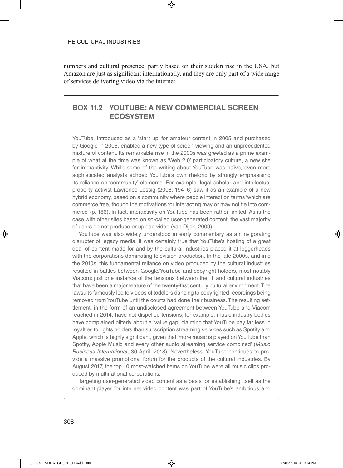numbers and cultural presence, partly based on their sudden rise in the USA, but Amazon are just as significant internationally, and they are only part of a wide range of services delivering video via the internet.

⊕

## **BOX 11.2 YOUTUBE: A NEW COMMERCIAL SCREEN ECOSYSTEM**

YouTube, introduced as a 'start up' for amateur content in 2005 and purchased by Google in 2006, enabled a new type of screen viewing and an unprecedented mixture of content. Its remarkable rise in the 2000s was greeted as a prime example of what at the time was known as 'Web 2.0' participatory culture, a new site for interactivity. While some of the writing about YouTube was naïve, even more sophisticated analysts echoed YouTube's own rhetoric by strongly emphasising its reliance on 'community' elements. For example, legal scholar and intellectual property activist Lawrence Lessig (2008: 194–6) saw it as an example of a new hybrid economy, based on a community where people interact on terms 'which are commerce free, though the motivations for interacting may or may not tie into commerce' (p. 186). In fact, interactivity on YouTube has been rather limited. As is the case with other sites based on so-called user-generated content, the vast majority of users do not produce or upload video (van Dijck, 2009).

YouTube was also widely understood in early commentary as an invigorating disrupter of legacy media. It was certainly true that YouTube's hosting of a great deal of content made for and by the cultural industries placed it at loggerheads with the corporations dominating television production. In the late 2000s, and into the 2010s, this fundamental reliance on video produced by the cultural industries resulted in battles between Google/YouTube and copyright holders, most notably Viacom: just one instance of the tensions between the IT and cultural industries that have been a major feature of the twenty-first century cultural environment. The lawsuits famously led to videos of toddlers dancing to copyrighted recordings being removed from YouTube until the courts had done their business. The resulting settlement, in the form of an undisclosed agreement between YouTube and Viacom reached in 2014, have not dispelled tensions; for example, music-industry bodies have complained bitterly about a 'value gap', claiming that YouTube pay far less in royalties to rights holders than subscription streaming services such as Spotify and Apple, which is highly significant, given that 'more music is played on YouTube than Spotify, Apple Music and every other audio streaming service combined' (*Music Business International*, 30 April, 2018). Nevertheless, YouTube continues to provide a massive promotional forum for the products of the cultural industries. By August 2017, the top 10 most-watched items on YouTube were all music clips produced by multinational corporations.

Targeting user-generated video content as a basis for establishing itself as the dominant player for internet video content was part of YouTube's ambitious and

⊕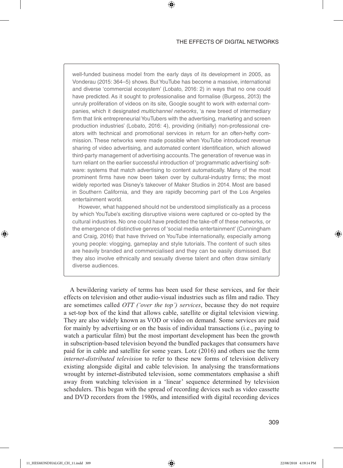well-funded business model from the early days of its development in 2005, as Vonderau (2015: 364–5) shows. But YouTube has become a massive, international and diverse 'commercial ecosystem' (Lobato, 2016: 2) in ways that no one could have predicted. As it sought to professionalise and formalise (Burgess, 2013) the unruly proliferation of videos on its site, Google sought to work with external companies, which it designated *multichannel networks*, 'a new breed of intermediary firm that link entrepreneurial YouTubers with the advertising, marketing and screen production industries' (Lobato, 2016: 4), providing (initially) non-professional creators with technical and promotional services in return for an often-hefty commission. These networks were made possible when YouTube introduced revenue sharing of video advertising, and automated content identification, which allowed third-party management of advertising accounts. The generation of revenue was in turn reliant on the earlier successful introduction of 'programmatic advertising' software: systems that match advertising to content automatically. Many of the most prominent firms have now been taken over by cultural-industry firms; the most widely reported was Disney's takeover of Maker Studios in 2014. Most are based in Southern California, and they are rapidly becoming part of the Los Angeles entertainment world.

⊕

However, what happened should not be understood simplistically as a process by which YouTube's exciting disruptive visions were captured or co-opted by the cultural industries. No one could have predicted the take-off of these networks, or the emergence of distinctive genres of 'social media entertainment' (Cunningham and Craig, 2016) that have thrived on YouTube internationally, especially among young people: vlogging, gameplay and style tutorials. The content of such sites are heavily branded and commercialised and they can be easily dismissed. But they also involve ethnically and sexually diverse talent and often draw similarly diverse audiences.

A bewildering variety of terms has been used for these services, and for their effects on television and other audio-visual industries such as film and radio. They are sometimes called *OTT ('over the top') services*, because they do not require a set-top box of the kind that allows cable, satellite or digital television viewing. They are also widely known as VOD or video on demand. Some services are paid for mainly by advertising or on the basis of individual transactions (i.e., paying to watch a particular film) but the most important development has been the growth in subscription-based television beyond the bundled packages that consumers have paid for in cable and satellite for some years. Lotz (2016) and others use the term *internet-distributed television* to refer to these new forms of television delivery existing alongside digital and cable television. In analysing the transformations wrought by internet-distributed television, some commentators emphasise a shift away from watching television in a 'linear' sequence determined by television schedulers. This began with the spread of recording devices such as video cassette and DVD recorders from the 1980s, and intensified with digital recording devices

⊕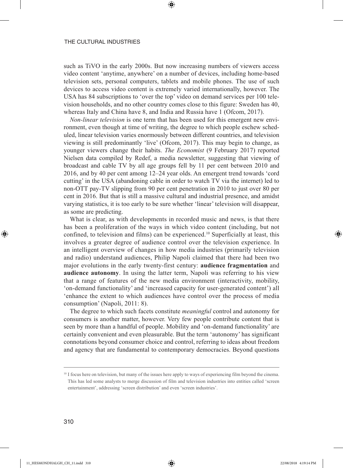such as TiVO in the early 2000s. But now increasing numbers of viewers access video content 'anytime, anywhere' on a number of devices, including home-based television sets, personal computers, tablets and mobile phones. The use of such devices to access video content is extremely varied internationally, however. The USA has 84 subscriptions to 'over the top' video on demand services per 100 television households, and no other country comes close to this figure: Sweden has 40, whereas Italy and China have 8, and India and Russia have 1 (Ofcom, 2017).

⊕

*Non-linear television* is one term that has been used for this emergent new environment, even though at time of writing, the degree to which people eschew scheduled, linear television varies enormously between different countries, and television viewing is still predominantly 'live' (Ofcom, 2017). This may begin to change, as younger viewers change their habits. *The Economist* (9 February 2017) reported Nielsen data compiled by Redef, a media newsletter, suggesting that viewing of broadcast and cable TV by all age groups fell by 11 per cent between 2010 and 2016, and by 40 per cent among 12–24 year olds. An emergent trend towards 'cord cutting' in the USA (abandoning cable in order to watch TV via the internet) led to non-OTT pay-TV slipping from 90 per cent penetration in 2010 to just over 80 per cent in 2016. But that is still a massive cultural and industrial presence, and amidst varying statistics, it is too early to be sure whether 'linear' television will disappear, as some are predicting.

What is clear, as with developments in recorded music and news, is that there has been a proliferation of the ways in which video content (including, but not confined, to television and films) can be experienced.10 Superficially at least, this involves a greater degree of audience control over the television experience. In an intelligent overview of changes in how media industries (primarily television and radio) understand audiences, Philip Napoli claimed that there had been two major evolutions in the early twenty-first century: **audience fragmentation** and **audience autonomy**. In using the latter term, Napoli was referring to his view that a range of features of the new media environment (interactivity, mobility, 'on-demand functionality' and 'increased capacity for user-generated content') all 'enhance the extent to which audiences have control over the process of media consumption' (Napoli, 2011: 8).

The degree to which such facets constitute *meaningful* control and autonomy for consumers is another matter, however. Very few people contribute content that is seen by more than a handful of people. Mobility and 'on-demand functionality' are certainly convenient and even pleasurable. But the term 'autonomy' has significant connotations beyond consumer choice and control, referring to ideas about freedom and agency that are fundamental to contemporary democracies. Beyond questions

⊕

<sup>&</sup>lt;sup>10</sup> I focus here on television, but many of the issues here apply to ways of experiencing film beyond the cinema. This has led some analysts to merge discussion of film and television industries into entities called 'screen entertainment', addressing 'screen distribution' and even 'screen industries'.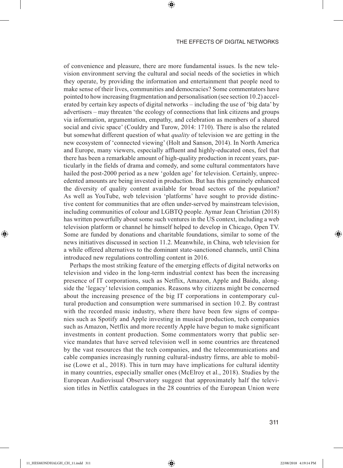of convenience and pleasure, there are more fundamental issues. Is the new television environment serving the cultural and social needs of the societies in which they operate, by providing the information and entertainment that people need to make sense of their lives, communities and democracies? Some commentators have pointed to how increasing fragmentation and personalisation (see section 10.2) accelerated by certain key aspects of digital networks – including the use of 'big data' by advertisers – may threaten 'the ecology of connections that link citizens and groups via information, argumentation, empathy, and celebration as members of a shared social and civic space' (Couldry and Turow, 2014: 1710). There is also the related but somewhat different question of what *quality* of television we are getting in the new ecosystem of 'connected viewing' (Holt and Sanson, 2014). In North America and Europe, many viewers, especially affluent and highly-educated ones, feel that there has been a remarkable amount of high-quality production in recent years, particularly in the fields of drama and comedy, and some cultural commentators have hailed the post-2000 period as a new 'golden age' for television. Certainly, unprecedented amounts are being invested in production. But has this genuinely enhanced the diversity of quality content available for broad sectors of the population? As well as YouTube, web television 'platforms' have sought to provide distinctive content for communities that are often under-served by mainstream television, including communities of colour and LGBTQ people. Aymar Jean Christian (2018) has written powerfully about some such ventures in the US context, including a web television platform or channel he himself helped to develop in Chicago, Open TV. Some are funded by donations and charitable foundations, similar to some of the news initiatives discussed in section 11.2. Meanwhile, in China, web television for a while offered alternatives to the dominant state-sanctioned channels, until China introduced new regulations controlling content in 2016.

⊕

Perhaps the most striking feature of the emerging effects of digital networks on television and video in the long-term industrial context has been the increasing presence of IT corporations, such as Netflix, Amazon, Apple and Baidu, alongside the 'legacy' television companies. Reasons why citizens might be concerned about the increasing presence of the big IT corporations in contemporary cultural production and consumption were summarised in section 10.2. By contrast with the recorded music industry, where there have been few signs of companies such as Spotify and Apple investing in musical production, tech companies such as Amazon, Netflix and more recently Apple have begun to make significant investments in content production. Some commentators worry that public service mandates that have served television well in some countries are threatened by the vast resources that the tech companies, and the telecommunications and cable companies increasingly running cultural-industry firms, are able to mobilise (Lowe et al., 2018). This in turn may have implications for cultural identity in many countries, especially smaller ones (McElroy et al., 2018). Studies by the European Audiovisual Observatory suggest that approximately half the television titles in Netflix catalogues in the 28 countries of the European Union were

⊕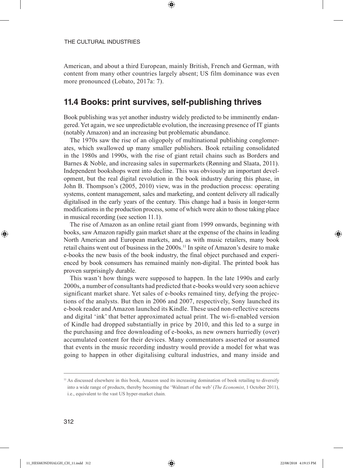American, and about a third European, mainly British, French and German, with content from many other countries largely absent; US film dominance was even more pronounced (Lobato, 2017a: 7).

⊕

## **11.4 Books: print survives, self-publishing thrives**

Book publishing was yet another industry widely predicted to be imminently endangered. Yet again, we see unpredictable evolution, the increasing presence of IT giants (notably Amazon) and an increasing but problematic abundance.

The 1970s saw the rise of an oligopoly of multinational publishing conglomerates, which swallowed up many smaller publishers. Book retailing consolidated in the 1980s and 1990s, with the rise of giant retail chains such as Borders and Barnes & Noble, and increasing sales in supermarkets (Rønning and Slaata, 2011). Independent bookshops went into decline. This was obviously an important development, but the real digital revolution in the book industry during this phase, in John B. Thompson's (2005, 2010) view, was in the production process: operating systems, content management, sales and marketing, and content delivery all radically digitalised in the early years of the century. This change had a basis in longer-term modifications in the production process, some of which were akin to those taking place in musical recording (see section 11.1).

The rise of Amazon as an online retail giant from 1999 onwards, beginning with books, saw Amazon rapidly gain market share at the expense of the chains in leading North American and European markets, and, as with music retailers, many book retail chains went out of business in the 2000s.11 In spite of Amazon's desire to make e-books the new basis of the book industry, the final object purchased and experienced by book consumers has remained mainly non-digital. The printed book has proven surprisingly durable.

This wasn't how things were supposed to happen. In the late 1990s and early 2000s, a number of consultants had predicted that e-books would very soon achieve significant market share. Yet sales of e-books remained tiny, defying the projections of the analysts. But then in 2006 and 2007, respectively, Sony launched its e-book reader and Amazon launched its Kindle. These used non-reflective screens and digital 'ink' that better approximated actual print. The wi-fi-enabled version of Kindle had dropped substantially in price by 2010, and this led to a surge in the purchasing and free downloading of e-books, as new owners hurriedly (over) accumulated content for their devices. Many commentators asserted or assumed that events in the music recording industry would provide a model for what was going to happen in other digitalising cultural industries, and many inside and

⊕

<sup>&</sup>lt;sup>11</sup> As discussed elsewhere in this book, Amazon used its increasing domination of book retailing to diversify into a wide range of products, thereby becoming the 'Walmart of the web' (*The Economist*, 1 October 2011), i.e., equivalent to the vast US hyper-market chain.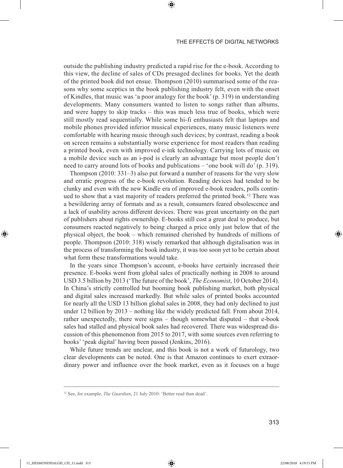outside the publishing industry predicted a rapid rise for the e-book. According to this view, the decline of sales of CDs presaged declines for books. Yet the death of the printed book did not ensue. Thompson (2010) summarised some of the reasons why some sceptics in the book publishing industry felt, even with the onset of Kindles, that music was 'a poor analogy for the book' (p. 319) in understanding developments. Many consumers wanted to listen to songs rather than albums, and were happy to skip tracks – this was much less true of books, which were still mostly read sequentially. While some hi-fi enthusiasts felt that laptops and mobile phones provided inferior musical experiences, many music listeners were comfortable with hearing music through such devices; by contrast, reading a book on screen remains a substantially worse experience for most readers than reading a printed book, even with improved e-ink technology. Carrying lots of music on a mobile device such as an i-pod is clearly an advantage but most people don't need to carry around lots of books and publications – 'one book will do' (p. 319).

⊕

Thompson (2010: 331–3) also put forward a number of reasons for the very slow and erratic progress of the e-book revolution. Reading devices had tended to be clunky and even with the new Kindle era of improved e-book readers, polls continued to show that a vast majority of readers preferred the printed book.<sup>12</sup> There was a bewildering array of formats and as a result, consumers feared obsolescence and a lack of usability across different devices. There was great uncertainty on the part of publishers about rights ownership. E-books still cost a great deal to produce, but consumers reacted negatively to being charged a price only just below that of the physical object, the book – which remained cherished by hundreds of millions of people. Thompson (2010: 318) wisely remarked that although digitalisation was in the process of transforming the book industry, it was too soon yet to be certain about what form these transformations would take.

In the years since Thompson's account, e-books have certainly increased their presence. E-books went from global sales of practically nothing in 2008 to around USD 3.5 billion by 2013 ('The future of the book', *The Economist*, 10 October 2014). In China's strictly controlled but booming book publishing market, both physical and digital sales increased markedly. But while sales of printed books accounted for nearly all the USD 13 billion global sales in 2008, they had only declined to just under 12 billion by 2013 – nothing like the widely predicted fall. From about 2014, rather unexpectedly, there were signs – though somewhat disputed – that e-book sales had stalled and physical book sales had recovered. There was widespread discussion of this phenomenon from 2015 to 2017, with some sources even referring to books' 'peak digital' having been passed (Jenkins, 2016).

While future trends are unclear, and this book is not a work of futurology, two clear developments can be noted. One is that Amazon continues to exert extraordinary power and influence over the book market, even as it focuses on a huge

⊕

<sup>&</sup>lt;sup>12</sup> See, for example, *The Guardian*, 21 July 2010: 'Better read than dead'.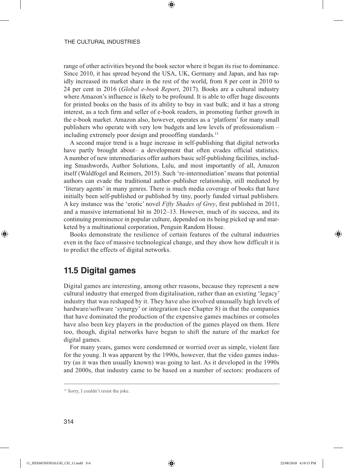range of other activities beyond the book sector where it began its rise to dominance. Since 2010, it has spread beyond the USA, UK, Germany and Japan, and has rapidly increased its market share in the rest of the world, from 8 per cent in 2010 to 24 per cent in 2016 (*Global e-book Report*, 2017). Books are a cultural industry where Amazon's influence is likely to be profound. It is able to offer huge discounts for printed books on the basis of its ability to buy in vast bulk; and it has a strong interest, as a tech firm and seller of e-book readers, in promoting further growth in the e-book market. Amazon also, however, operates as a 'platform' for many small publishers who operate with very low budgets and low levels of professionalism – including extremely poor design and proooffing standards.<sup>13</sup>

⊕

A second major trend is a huge increase in self-publishing that digital networks have partly brought about– a development that often evades official statistics. A number of new intermediaries offer authors basic self-publishing facilities, including Smashwords, Author Solutions, Lulu, and most importantly of all, Amazon itself (Waldfogel and Reimers, 2015). Such 're-intermediation' means that potential authors can evade the traditional author–publisher relationship, still mediated by 'literary agents' in many genres. There is much media coverage of books that have initially been self-published or published by tiny, poorly funded virtual publishers. A key instance was the 'erotic' novel *Fifty Shades of Grey*, first published in 2011, and a massive international hit in 2012–13. However, much of its success, and its continuing prominence in popular culture, depended on its being picked up and marketed by a multinational corporation, Penguin Random House.

Books demonstrate the resilience of certain features of the cultural industries even in the face of massive technological change, and they show how difficult it is to predict the effects of digital networks.

# **11.5 Digital games**

Digital games are interesting, among other reasons, because they represent a new cultural industry that emerged from digitalisation, rather than an existing 'legacy' industry that was reshaped by it. They have also involved unusually high levels of hardware/software 'synergy' or integration (see Chapter 8) in that the companies that have dominated the production of the expensive games machines or consoles have also been key players in the production of the games played on them. Here too, though, digital networks have begun to shift the nature of the market for digital games.

For many years, games were condemned or worried over as simple, violent fare for the young. It was apparent by the 1990s, however, that the video games industry (as it was then usually known) was going to last. As it developed in the 1990s and 2000s, that industry came to be based on a number of sectors: producers of

⊕

<sup>&</sup>lt;sup>13</sup> Sorry, I couldn't resist the joke.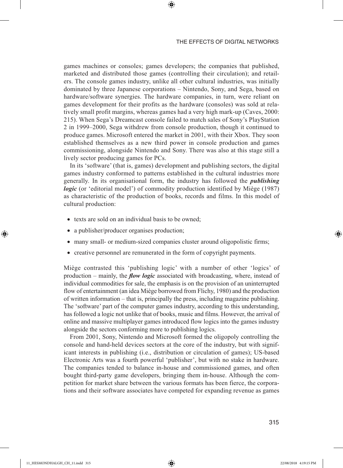games machines or consoles; games developers; the companies that published, marketed and distributed those games (controlling their circulation); and retailers. The console games industry, unlike all other cultural industries, was initially dominated by three Japanese corporations – Nintendo, Sony, and Sega, based on hardware/software synergies. The hardware companies, in turn, were reliant on games development for their profits as the hardware (consoles) was sold at relatively small profit margins, whereas games had a very high mark-up (Caves, 2000: 215). When Sega's Dreamcast console failed to match sales of Sony's PlayStation 2 in 1999–2000, Sega withdrew from console production, though it continued to produce games. Microsoft entered the market in 2001, with their Xbox. They soon established themselves as a new third power in console production and games commissioning, alongside Nintendo and Sony. There was also at this stage still a lively sector producing games for PCs.

⊕

In its 'software' (that is, games) development and publishing sectors, the digital games industry conformed to patterns established in the cultural industries more generally. In its organisational form, the industry has followed the *publishing logic* (or 'editorial model') of commodity production identified by Miège (1987) as characteristic of the production of books, records and films. In this model of cultural production:

- texts are sold on an individual basis to be owned;
- a publisher/producer organises production;
- many small- or medium-sized companies cluster around oligopolistic firms;
- creative personnel are remunerated in the form of copyright payments.

Miège contrasted this 'publishing logic' with a number of other 'logics' of production – mainly, the *flow logic* associated with broadcasting, where, instead of individual commodities for sale, the emphasis is on the provision of an uninterrupted flow of entertainment (an idea Miège borrowed from Flichy, 1980) and the production of written information – that is, principally the press, including magazine publishing. The 'software' part of the computer games industry, according to this understanding, has followed a logic not unlike that of books, music and films. However, the arrival of online and massive multiplayer games introduced flow logics into the games industry alongside the sectors conforming more to publishing logics.

From 2001, Sony, Nintendo and Microsoft formed the oligopoly controlling the console and hand-held devices sectors at the core of the industry, but with significant interests in publishing (i.e., distribution or circulation of games); US-based Electronic Arts was a fourth powerful 'publisher', but with no stake in hardware. The companies tended to balance in-house and commissioned games, and often bought third-party game developers, bringing them in-house. Although the competition for market share between the various formats has been fierce, the corporations and their software associates have competed for expanding revenue as games

⊕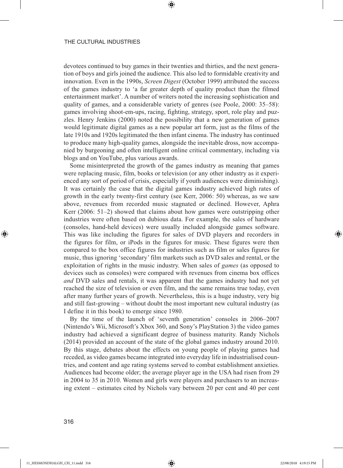devotees continued to buy games in their twenties and thirties, and the next generation of boys and girls joined the audience. This also led to formidable creativity and innovation. Even in the 1990s, *Screen Digest* (October 1999) attributed the success of the games industry to 'a far greater depth of quality product than the filmed entertainment market'. A number of writers noted the increasing sophistication and quality of games, and a considerable variety of genres (see Poole, 2000: 35–58): games involving shoot-em-ups, racing, fighting, strategy, sport, role play and puzzles. Henry Jenkins (2000) noted the possibility that a new generation of games would legitimate digital games as a new popular art form, just as the films of the late 1910s and 1920s legitimated the then infant cinema. The industry has continued to produce many high-quality games, alongside the inevitable dross, now accompanied by burgeoning and often intelligent online critical commentary, including via blogs and on YouTube, plus various awards.

⊕

Some misinterpreted the growth of the games industry as meaning that games were replacing music, film, books or television (or any other industry as it experienced any sort of period of crisis, especially if youth audiences were diminishing). It was certainly the case that the digital games industry achieved high rates of growth in the early twenty-first century (see Kerr, 2006: 50) whereas, as we saw above, revenues from recorded music stagnated or declined. However, Aphra Kerr (2006: 51–2) showed that claims about how games were outstripping other industries were often based on dubious data. For example, the sales of hardware (consoles, hand-held devices) were usually included alongside games software. This was like including the figures for sales of DVD players and recorders in the figures for film, or iPods in the figures for music. These figures were then compared to the box office figures for industries such as film or sales figures for music, thus ignoring 'secondary' film markets such as DVD sales and rental, or the exploitation of rights in the music industry. When sales of *games* (as opposed to devices such as consoles) were compared with revenues from cinema box offices *and* DVD sales and rentals, it was apparent that the games industry had not yet reached the size of television or even film, and the same remains true today, even after many further years of growth. Nevertheless, this is a huge industry, very big and still fast-growing – without doubt the most important new cultural industry (as I define it in this book) to emerge since 1980.

By the time of the launch of 'seventh generation' consoles in 2006–2007 (Nintendo's Wii, Microsoft's Xbox 360, and Sony's PlayStation 3) the video games industry had achieved a significant degree of business maturity. Randy Nichols (2014) provided an account of the state of the global games industry around 2010. By this stage, debates about the effects on young people of playing games had receded, as video games became integrated into everyday life in industrialised countries, and content and age rating systems served to combat establishment anxieties. Audiences had become older; the average player age in the USA had risen from 29 in 2004 to 35 in 2010. Women and girls were players and purchasers to an increasing extent – estimates cited by Nichols vary between 20 per cent and 40 per cent

⊕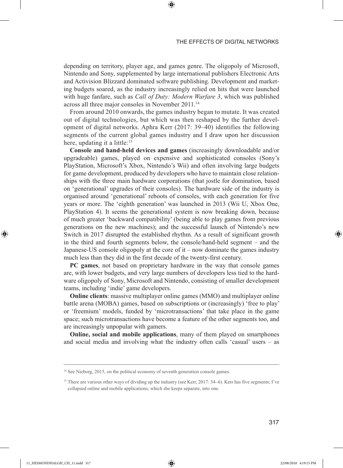depending on territory, player age, and games genre. The oligopoly of Microsoft, Nintendo and Sony, supplemented by large international publishers Electronic Arts and Activision Blizzard dominated software publishing. Development and marketing budgets soared, as the industry increasingly relied on hits that were launched with huge fanfare, such as *Call of Duty: Modern Warfare 3*, which was published across all three major consoles in November 2011.14

⊕

From around 2010 onwards, the games industry began to mutate. It was created out of digital technologies, but which was then reshaped by the further development of digital networks. Aphra Kerr (2017: 39–40) identifies the following segments of the current global games industry and I draw upon her discussion here, updating it a little:<sup>15</sup>

**Console and hand-held devices and games** (increasingly downloadable and/or upgradeable) games, played on expensive and sophisticated consoles (Sony's PlayStation, Microsoft's Xbox, Nintendo's Wii) and often involving large budgets for game development, produced by developers who have to maintain close relationships with the three main hardware corporations (that jostle for domination, based on 'generational' upgrades of their consoles). The hardware side of the industry is organised around 'generational' reboots of consoles, with each generation for five years or more. The 'eighth generation' was launched in 2013 (Wii U, Xbox One, PlayStation 4). It seems the generational system is now breaking down, because of much greater 'backward compatibility' (being able to play games from previous generations on the new machines); and the successful launch of Nintendo's new Switch in 2017 disrupted the established rhythm. As a result of significant growth in the third and fourth segments below, the console/hand-held segment – and the Japanese-US console oligopoly at the core of it – now dominate the games industry much less than they did in the first decade of the twenty-first century.

**PC games**, not based on proprietary hardware in the way that console games are, with lower budgets, and very large numbers of developers less tied to the hardware oligopoly of Sony, Microsoft and Nintendo, consisting of smaller development teams, including 'indie' game developers.

**Online clients**: massive multiplayer online games (MMO) and multiplayer online battle arena (MOBA) games, based on subscriptions or (increasingly) 'free to play' or 'freemium' models, funded by 'microtransactions' that take place in the game space; such microtransactions have become a feature of the other segments too, and are increasingly unpopular with gamers.

**Online, social and mobile applications**, many of them played on smartphones and social media and involving what the industry often calls 'casual' users – as

⊕

<sup>&</sup>lt;sup>14</sup> See Nieborg, 2015, on the political economy of seventh generation console games.

<sup>&</sup>lt;sup>15</sup> There are various other ways of dividing up the industry (see Kerr, 2017: 34–6). Kerr has five segments; I've collapsed online and mobile applications, which she keeps separate, into one.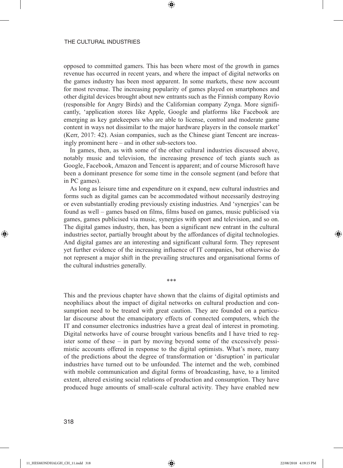opposed to committed gamers. This has been where most of the growth in games revenue has occurred in recent years, and where the impact of digital networks on the games industry has been most apparent. In some markets, these now account for most revenue. The increasing popularity of games played on smartphones and other digital devices brought about new entrants such as the Finnish company Rovio (responsible for Angry Birds) and the Californian company Zynga. More significantly, 'application stores like Apple, Google and platforms like Facebook are emerging as key gatekeepers who are able to license, control and moderate game content in ways not dissimilar to the major hardware players in the console market' (Kerr, 2017: 42). Asian companies, such as the Chinese giant Tencent are increasingly prominent here – and in other sub-sectors too.

⊕

In games, then, as with some of the other cultural industries discussed above, notably music and television, the increasing presence of tech giants such as Google, Facebook, Amazon and Tencent is apparent; and of course Microsoft have been a dominant presence for some time in the console segment (and before that in PC games).

As long as leisure time and expenditure on it expand, new cultural industries and forms such as digital games can be accommodated without necessarily destroying or even substantially eroding previously existing industries. And 'synergies' can be found as well – games based on films, films based on games, music publicised via games, games publicised via music, synergies with sport and television, and so on. The digital games industry, then, has been a significant new entrant in the cultural industries sector, partially brought about by the affordances of digital technologies. And digital games are an interesting and significant cultural form. They represent yet further evidence of the increasing influence of IT companies, but otherwise do not represent a major shift in the prevailing structures and organisational forms of the cultural industries generally.

\*\*\*

This and the previous chapter have shown that the claims of digital optimists and neophiliacs about the impact of digital networks on cultural production and consumption need to be treated with great caution. They are founded on a particular discourse about the emancipatory effects of connected computers, which the IT and consumer electronics industries have a great deal of interest in promoting. Digital networks have of course brought various benefits and I have tried to register some of these – in part by moving beyond some of the excessively pessimistic accounts offered in response to the digital optimists. What's more, many of the predictions about the degree of transformation or 'disruption' in particular industries have turned out to be unfounded. The internet and the web, combined with mobile communication and digital forms of broadcasting, have, to a limited extent, altered existing social relations of production and consumption. They have produced huge amounts of small-scale cultural activity. They have enabled new

⊕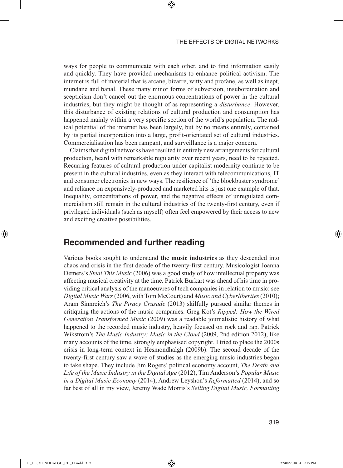ways for people to communicate with each other, and to find information easily and quickly. They have provided mechanisms to enhance political activism. The internet is full of material that is arcane, bizarre, witty and profane, as well as inept, mundane and banal. These many minor forms of subversion, insubordination and scepticism don't cancel out the enormous concentrations of power in the cultural industries, but they might be thought of as representing a *disturbance*. However, this disturbance of existing relations of cultural production and consumption has happened mainly within a very specific section of the world's population. The radical potential of the internet has been largely, but by no means entirely, contained by its partial incorporation into a large, profit-orientated set of cultural industries. Commercialisation has been rampant, and surveillance is a major concern.

⊕

Claims that digital networks have resulted in entirely new arrangements for cultural production, heard with remarkable regularity over recent years, need to be rejected. Recurring features of cultural production under capitalist modernity continue to be present in the cultural industries, even as they interact with telecommunications, IT and consumer electronics in new ways. The resilience of 'the blockbuster syndrome' and reliance on expensively-produced and marketed hits is just one example of that. Inequality, concentrations of power, and the negative effects of unregulated commercialism still remain in the cultural industries of the twenty-first century, even if privileged individuals (such as myself) often feel empowered by their access to new and exciting creative possibilities.

## **Recommended and further reading**

Various books sought to understand **the music industries** as they descended into chaos and crisis in the first decade of the twenty-first century. Musicologist Joanna Demers's *Steal This Music* (2006) was a good study of how intellectual property was affecting musical creativity at the time. Patrick Burkart was ahead of his time in providing critical analysis of the manoeuvres of tech companies in relation to music: see *Digital Music Wars* (2006, with Tom McCourt) and *Music and Cyberliberties* (2010); Aram Sinnreich's *The Piracy Crusade* (2013) skilfully pursued similar themes in critiquing the actions of the music companies. Greg Kot's *Ripped: How the Wired Generation Transformed Music* (2009) was a readable journalistic history of what happened to the recorded music industry, heavily focused on rock and rap. Patrick Wikstrom's *The Music Industry: Music in the Cloud* (2009, 2nd edition 2012), like many accounts of the time, strongly emphasised copyright. I tried to place the 2000s crisis in long-term context in Hesmondhalgh (2009b). The second decade of the twenty-first century saw a wave of studies as the emerging music industries began to take shape. They include Jim Rogers' political economy account, *The Death and Life of the Music Industry in the Digital Age* (2012), Tim Anderson's *Popular Music in a Digital Music Economy* (2014), Andrew Leyshon's *Reformatted* (2014), and so far best of all in my view, Jeremy Wade Morris's *Selling Digital Music, Formatting* 

⊕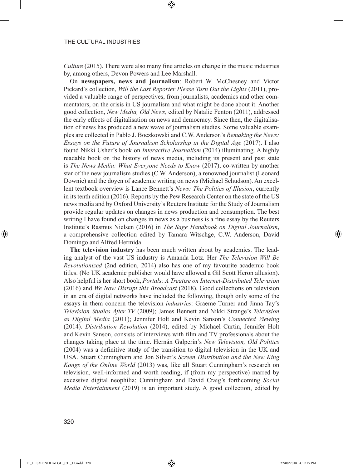*Culture* (2015). There were also many fine articles on change in the music industries by, among others, Devon Powers and Lee Marshall.

⊕

On **newspapers, news and journalism**: Robert W. McChesney and Victor Pickard's collection, *Will the Last Reporter Please Turn Out the Lights* (2011), provided a valuable range of perspectives, from journalists, academics and other commentators, on the crisis in US journalism and what might be done about it. Another good collection, *New Media, Old News*, edited by Natalie Fenton (2011), addressed the early effects of digitalisation on news and democracy. Since then, the digitalisation of news has produced a new wave of journalism studies. Some valuable examples are collected in Pablo J. Boczkowski and C.W. Anderson's *Remaking the News: Essays on the Future of Journalism Scholarship in the Digital Age* (2017). I also found Nikki Usher's book on *Interactive Journalism* (2014) illuminating. A highly readable book on the history of news media, including its present and past state is *The News Media: What Everyone Needs to Know* (2017), co-written by another star of the new journalism studies (C.W. Anderson), a renowned journalist (Leonard Downie) and the doyen of academic writing on news (Michael Schudson). An excellent textbook overview is Lance Bennett's *News: The Politics of Illusion*, currently in its tenth edition (2016). Reports by the Pew Research Center on the state of the US news media and by Oxford University's Reuters Institute for the Study of Journalism provide regular updates on changes in news production and consumption. The best writing I have found on changes in news as a business is a fine essay by the Reuters Institute's Rasmus Nielsen (2016) in *The Sage Handbook on Digital Journalism*, a comprehensive collection edited by Tamara Witschge, C.W. Anderson, David Domingo and Alfred Hermida.

**The television industry** has been much written about by academics. The leading analyst of the vast US industry is Amanda Lotz. Her *The Television Will Be Revolutionized* (2nd edition, 2014) also has one of my favourite academic book titles. (No UK academic publisher would have allowed a Gil Scott Heron allusion). Also helpful is her short book, *Portals: A Treatise on Internet-Distributed Television* (2016) and *We Now Disrupt this Broadcast* (2018). Good collections on television in an era of digital networks have included the following, though only some of the essays in them concern the television *industries*: Graeme Turner and Jinna Tay's *Television Studies After TV* (2009); James Bennett and Nikki Strange's *Television as Digital Media* (2011); Jennifer Holt and Kevin Sanson's *Connected Viewing* (2014). *Distribution Revolution* (2014), edited by Michael Curtin, Jennifer Holt and Kevin Sanson, consists of interviews with film and TV professionals about the changes taking place at the time. Hernán Galperin's *New Television, Old Politics* (2004) was a definitive study of the transition to digital television in the UK and USA. Stuart Cunningham and Jon Silver's *Screen Distribution and the New King Kongs of the Online World* (2013) was, like all Stuart Cunningham's research on television, well-informed and worth reading, if (from my perspective) marred by excessive digital neophilia; Cunningham and David Craig's forthcoming *Social Media Entertainment* (2019) is an important study. A good collection, edited by

⊕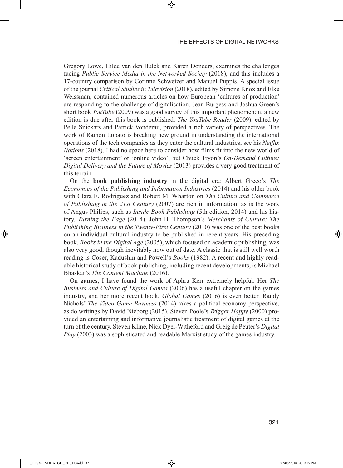Gregory Lowe, Hilde van den Bulck and Karen Donders, examines the challenges facing *Public Service Media in the Networked Society* (2018), and this includes a 17-country comparison by Corinne Schweizer and Manuel Puppis. A special issue of the journal *Critical Studies in Television* (2018), edited by Simone Knox and Elke Weissman, contained numerous articles on how European 'cultures of production' are responding to the challenge of digitalisation. Jean Burgess and Joshua Green's short book *YouTube* (2009) was a good survey of this important phenomenon; a new edition is due after this book is published. *The YouTube Reader* (2009), edited by Pelle Snickars and Patrick Vonderau, provided a rich variety of perspectives. The work of Ramon Lobato is breaking new ground in understanding the international operations of the tech companies as they enter the cultural industries; see his *Netflix Nations* (2018). I had no space here to consider how films fit into the new world of 'screen entertainment' or 'online video', but Chuck Tryon's *On-Demand Culture: Digital Delivery and the Future of Movies* (2013) provides a very good treatment of this terrain.

⊕

On the **book publishing industry** in the digital era: Albert Greco's *The Economics of the Publishing and Information Industries* (2014) and his older book with Clara E. Rodriguez and Robert M. Wharton on *The Culture and Commerce of Publishing in the 21st Century* (2007) are rich in information, as is the work of Angus Philips, such as *Inside Book Publishing* (5th edition, 2014) and his history, *Turning the Page* (2014). John B. Thompson's *Merchants of Culture: The Publishing Business in the Twenty-First Century* (2010) was one of the best books on an individual cultural industry to be published in recent years. His preceding book, *Books in the Digital Age* (2005), which focused on academic publishing, was also very good, though inevitably now out of date. A classic that is still well worth reading is Coser, Kadushin and Powell's *Books* (1982). A recent and highly readable historical study of book publishing, including recent developments, is Michael Bhaskar's *The Content Machine* (2016).

On **games**, I have found the work of Aphra Kerr extremely helpful. Her *The Business and Culture of Digital Games* (2006) has a useful chapter on the games industry, and her more recent book, *Global Games* (2016) is even better. Randy Nichols' *The Video Game Business* (2014) takes a political economy perspective, as do writings by David Nieborg (2015). Steven Poole's *Trigger Happy* (2000) provided an entertaining and informative journalistic treatment of digital games at the turn of the century. Steven Kline, Nick Dyer-Witheford and Greig de Peuter's *Digital Play* (2003) was a sophisticated and readable Marxist study of the games industry.

321

⊕